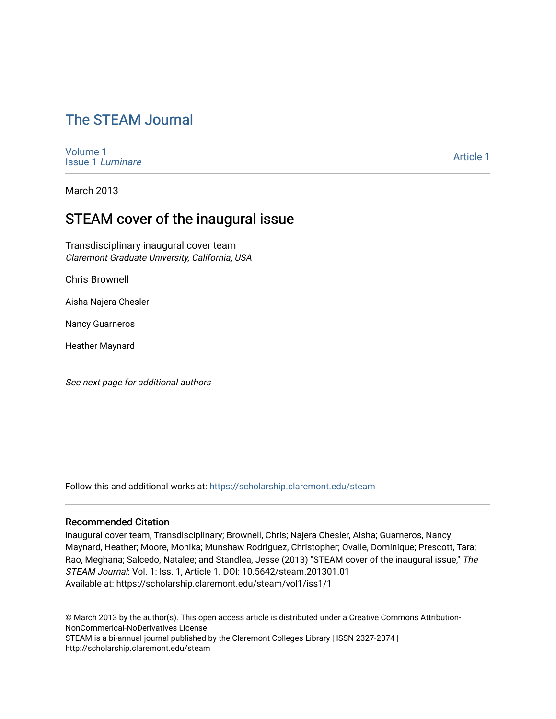# [The STEAM Journal](https://scholarship.claremont.edu/steam)

[Volume 1](https://scholarship.claremont.edu/steam/vol1) [Issue 1](https://scholarship.claremont.edu/steam/vol1/iss1) Luminare

[Article 1](https://scholarship.claremont.edu/steam/vol1/iss1/1) 

March 2013

## STEAM cover of the inaugural issue

Transdisciplinary inaugural cover team Claremont Graduate University, California, USA

Chris Brownell

Aisha Najera Chesler

Nancy Guarneros

Heather Maynard

See next page for additional authors

Follow this and additional works at: [https://scholarship.claremont.edu/steam](https://scholarship.claremont.edu/steam?utm_source=scholarship.claremont.edu%2Fsteam%2Fvol1%2Fiss1%2F1&utm_medium=PDF&utm_campaign=PDFCoverPages) 

#### Recommended Citation

inaugural cover team, Transdisciplinary; Brownell, Chris; Najera Chesler, Aisha; Guarneros, Nancy; Maynard, Heather; Moore, Monika; Munshaw Rodriguez, Christopher; Ovalle, Dominique; Prescott, Tara; Rao, Meghana; Salcedo, Natalee; and Standlea, Jesse (2013) "STEAM cover of the inaugural issue," The STEAM Journal: Vol. 1: Iss. 1, Article 1. DOI: 10.5642/steam.201301.01 Available at: https://scholarship.claremont.edu/steam/vol1/iss1/1

© March 2013 by the author(s). This open access article is distributed under a Creative Commons Attribution-NonCommerical-NoDerivatives License.

STEAM is a bi-annual journal published by the Claremont Colleges Library | ISSN 2327-2074 | http://scholarship.claremont.edu/steam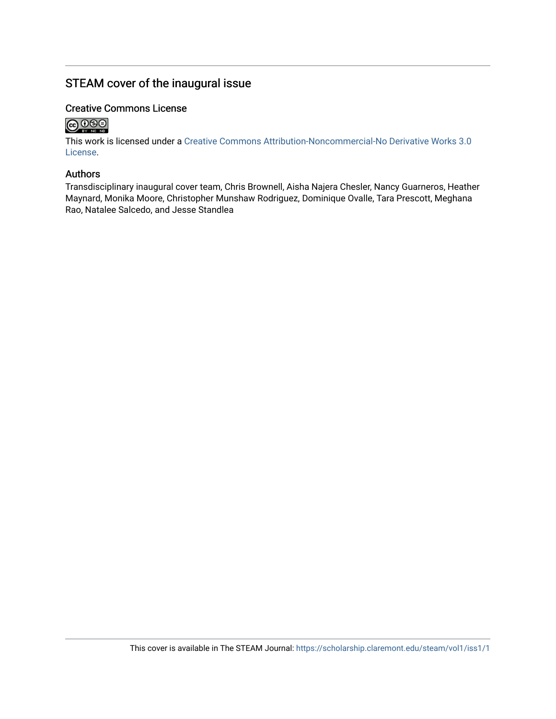## STEAM cover of the inaugural issue

### Creative Commons License



This work is licensed under a [Creative Commons Attribution-Noncommercial-No Derivative Works 3.0](https://creativecommons.org/licenses/by-nc-nd/3.0/) [License](https://creativecommons.org/licenses/by-nc-nd/3.0/).

### Authors

Transdisciplinary inaugural cover team, Chris Brownell, Aisha Najera Chesler, Nancy Guarneros, Heather Maynard, Monika Moore, Christopher Munshaw Rodriguez, Dominique Ovalle, Tara Prescott, Meghana Rao, Natalee Salcedo, and Jesse Standlea